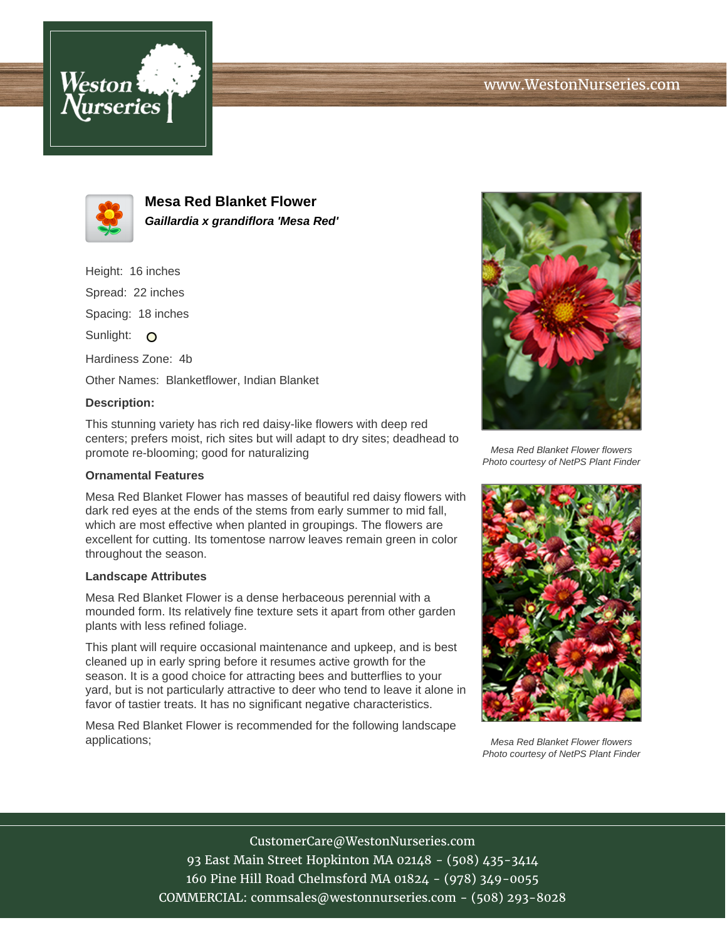



**Mesa Red Blanket Flower Gaillardia x grandiflora 'Mesa Red'**

Height: 16 inches Spread: 22 inches Spacing: 18 inches Sunlight: O Hardiness Zone: 4b Other Names: Blanketflower, Indian Blanket

## **Description:**

This stunning variety has rich red daisy-like flowers with deep red centers; prefers moist, rich sites but will adapt to dry sites; deadhead to promote re-blooming; good for naturalizing

## **Ornamental Features**

Mesa Red Blanket Flower has masses of beautiful red daisy flowers with dark red eyes at the ends of the stems from early summer to mid fall, which are most effective when planted in groupings. The flowers are excellent for cutting. Its tomentose narrow leaves remain green in color throughout the season.

## **Landscape Attributes**

Mesa Red Blanket Flower is a dense herbaceous perennial with a mounded form. Its relatively fine texture sets it apart from other garden plants with less refined foliage.

This plant will require occasional maintenance and upkeep, and is best cleaned up in early spring before it resumes active growth for the season. It is a good choice for attracting bees and butterflies to your yard, but is not particularly attractive to deer who tend to leave it alone in favor of tastier treats. It has no significant negative characteristics.

Mesa Red Blanket Flower is recommended for the following landscape applications;



Mesa Red Blanket Flower flowers Photo courtesy of NetPS Plant Finder



Mesa Red Blanket Flower flowers Photo courtesy of NetPS Plant Finder

CustomerCare@WestonNurseries.com 93 East Main Street Hopkinton MA 02148 - (508) 435-3414 160 Pine Hill Road Chelmsford MA 01824 - (978) 349-0055 COMMERCIAL: commsales@westonnurseries.com - (508) 293-8028